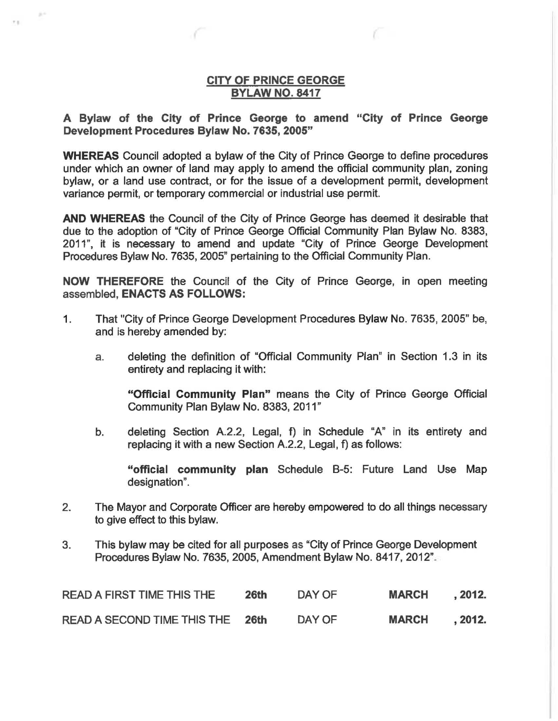## CITY OF PRINCE GEORGE BYLAW NO. 8417

×.

A Bylaw of the City of Prince George to amend "City of Prince George Development Procedures Bylaw No. 7635, 2005"

WHEREAS Council adopted a bylaw of the City of Prince George to define procedures under which an owner of land may apply to amend the official community plan, zoning bylaw, or a land use contract, or for the issue of a development permit, development variance permit, or temporary commercial or industrial use permit.

AND WHEREAS the Council of the City of Prince George has deemed it desirable that due to the adoption of "City of Prince George Official Community Plan Bylaw No. 8383, 2011", it is necessary to amend and update "City of Prince George Development Procedures Bylaw No. 7635, 2005" pertaining to the Official Community Plan.

NOW THEREFORE the Council of the City of Prince George, in open meeting assembled, ENACTS AS FOLLOWS:

- 1. That "City of Prince George Development Procedures Bylaw No. 7635, 2005" be, and is hereby amended by:
	- a. deleting the definition of "Official Community Plan" in Section 1.3 in its entirety and replacing it with:

"Official Community Plan" means the City of Prince George Official Community Plan Bylaw No. 8383, 2011"

b. deleting Section A.2.2, Legal, f) in Schedule "A" in its entirety and replacing it with a new Section A.2.2, Legal, f) as follows:

"official community plan Schedule B-5: Future Land Use Map designation".

- 2. The Mayor and Corporate Officer are hereby empowered to do all things necessary to give effect to this bylaw.
- 3. This bylaw may be cited for all purposes as "City of Prince George Development Procedures Bylaw No. 7635,2005, Amendment Bylaw No. 8417, 2012".

| <b>READ A FIRST TIME THIS THE</b> | 26th | DAY OF | <b>MARCH</b> | . 2012. |
|-----------------------------------|------|--------|--------------|---------|
| READ A SECOND TIME THIS THE 26th  |      | DAY OF | <b>MARCH</b> | .2012.  |